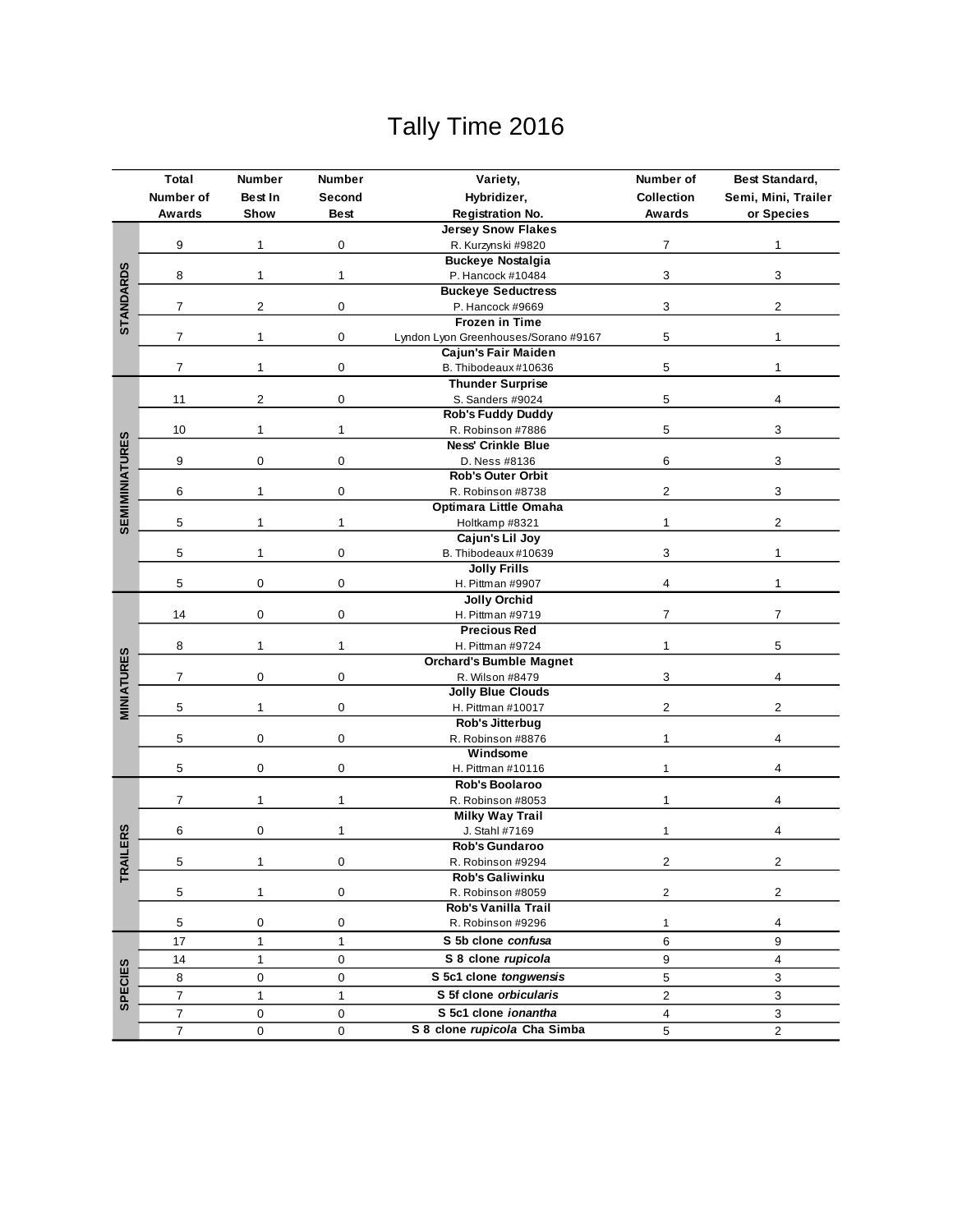## Tally Time 2016

|                       | Total                   | Number                           | <b>Number</b>             | Variety,                                           | Number of               | <b>Best Standard,</b> |  |
|-----------------------|-------------------------|----------------------------------|---------------------------|----------------------------------------------------|-------------------------|-----------------------|--|
|                       | Number of               | Best In<br>Second<br>Hybridizer, |                           |                                                    | <b>Collection</b>       | Semi, Mini, Trailer   |  |
|                       | Awards                  | Show                             | <b>Best</b>               | <b>Registration No.</b>                            | Awards                  | or Species            |  |
|                       |                         |                                  |                           | <b>Jersey Snow Flakes</b>                          |                         |                       |  |
|                       | 9                       | 1                                | 0                         | R. Kurzynski #9820                                 | 7                       | 1                     |  |
|                       |                         | $\mathbf{1}$                     | 1                         | <b>Buckeye Nostalgia</b>                           |                         |                       |  |
|                       | 8                       |                                  |                           | P. Hancock #10484                                  | 3                       | 3                     |  |
| <b>STANDARDS</b>      |                         | $\overline{2}$                   | 0                         | <b>Buckeye Seductress</b>                          |                         |                       |  |
|                       | 7                       |                                  |                           | P. Hancock #9669                                   | 3                       | $\overline{2}$        |  |
|                       |                         |                                  |                           | <b>Frozen in Time</b>                              |                         |                       |  |
|                       | 7                       | $\mathbf{1}$                     | 0                         | Lyndon Lyon Greenhouses/Sorano #9167               | 5                       | $\mathbf{1}$          |  |
|                       |                         |                                  |                           | Cajun's Fair Maiden                                |                         |                       |  |
|                       | $\overline{7}$          | $\mathbf{1}$                     | 0                         | B. Thibodeaux #10636                               | 5                       | 1                     |  |
|                       |                         |                                  | 0                         | <b>Thunder Surprise</b>                            |                         |                       |  |
|                       | 11                      | 2                                |                           | S. Sanders #9024                                   | 5                       | 4                     |  |
|                       |                         |                                  |                           | <b>Rob's Fuddy Duddy</b>                           |                         |                       |  |
|                       | 10                      | $\mathbf{1}$                     | 1                         | R. Robinson #7886                                  | 5                       | 3                     |  |
| <b>SEMIMINIATURES</b> |                         |                                  | <b>Ness' Crinkle Blue</b> |                                                    |                         |                       |  |
|                       | 9                       | 0                                | 0                         | D. Ness #8136                                      | 6                       | 3                     |  |
|                       |                         |                                  |                           | <b>Rob's Outer Orbit</b>                           |                         |                       |  |
|                       | 6                       | $\mathbf{1}$                     | 0                         | R. Robinson #8738                                  | 2                       | 3                     |  |
|                       |                         |                                  |                           | Optimara Little Omaha                              |                         |                       |  |
|                       | 5                       | $\mathbf{1}$                     | 1                         | Holtkamp #8321                                     | $\mathbf{1}$            | $\overline{c}$        |  |
|                       |                         |                                  |                           | Cajun's Lil Joy                                    |                         |                       |  |
|                       | 5                       | 1                                | 0                         | B. Thibodeaux #10639                               | 3                       | 1                     |  |
|                       |                         |                                  | 0                         | <b>Jolly Frills</b>                                |                         |                       |  |
|                       | 5                       | $\mathbf 0$                      |                           | H. Pittman #9907                                   | 4                       | $\mathbf{1}$          |  |
|                       |                         |                                  |                           | <b>Jolly Orchid</b>                                |                         |                       |  |
|                       | 14                      | $\mathbf 0$                      | 0                         | H. Pittman #9719                                   | $\overline{7}$          | 7                     |  |
|                       |                         |                                  |                           | <b>Precious Red</b>                                |                         |                       |  |
|                       | 8                       | 1                                | 1                         | H. Pittman #9724<br><b>Orchard's Bumble Magnet</b> | 1                       | 5                     |  |
|                       | 7                       | $\mathbf 0$                      | 0                         |                                                    | 3                       | 4                     |  |
| <b>MINIATURES</b>     |                         |                                  |                           | R. Wilson #8479                                    |                         |                       |  |
|                       | 5                       | 1                                | 0                         | <b>Jolly Blue Clouds</b><br>H. Pittman #10017      | $\overline{\mathbf{c}}$ | $\overline{2}$        |  |
|                       |                         |                                  |                           | Rob's Jitterbug                                    |                         |                       |  |
|                       | 5                       | 0                                | 0                         | R. Robinson #8876                                  | 1                       | 4                     |  |
|                       |                         |                                  |                           | Windsome                                           |                         |                       |  |
|                       | 5                       | $\mathbf 0$                      | 0                         | H. Pittman #10116                                  | 1                       | 4                     |  |
|                       |                         |                                  |                           | <b>Rob's Boolaroo</b>                              |                         |                       |  |
|                       | 7                       | $\mathbf{1}$                     | 1                         | R. Robinson #8053                                  | 1                       | 4                     |  |
|                       |                         |                                  |                           | <b>Milky Way Trail</b>                             |                         |                       |  |
|                       | 6                       | 0                                | 1                         | J. Stahl #7169                                     | 1                       | 4                     |  |
| <b>TRAILERS</b>       |                         |                                  |                           | Rob's Gundaroo                                     |                         |                       |  |
|                       | 5                       | 1                                | 0                         | R. Robinson #9294                                  | 2                       | $\overline{2}$        |  |
|                       |                         |                                  |                           | <b>Rob's Galiwinku</b>                             |                         |                       |  |
|                       | 5                       | 1                                | 0                         | R. Robinson #8059                                  | $\overline{a}$          | $\overline{c}$        |  |
|                       |                         |                                  |                           | Rob's Vanilla Trail                                |                         |                       |  |
|                       | 5                       | 0                                | 0                         | R. Robinson #9296                                  | 1                       | 4                     |  |
|                       | 17                      | $\mathbf{1}$                     | $\mathbf{1}$              | S 5b clone confusa                                 | 6                       | 9                     |  |
|                       | 14                      | $\mathbf{1}$                     | 0                         | S 8 clone rupicola                                 | 9                       | 4                     |  |
| <b>SPECIES</b>        | 8                       | $\pmb{0}$                        | 0                         | S 5c1 clone tongwensis                             | 5                       | 3                     |  |
|                       | $\overline{\mathbf{7}}$ | $\mathbf{1}$                     | $\mathbf{1}$              | S 5f clone orbicularis                             | $\overline{c}$          | 3                     |  |
|                       | $\overline{7}$          | 0                                | 0                         | S 5c1 clone ionantha                               | 4                       | 3                     |  |
|                       | $\overline{7}$          | 0                                | 0                         | S 8 clone rupicola Cha Simba                       | 5                       | $\overline{c}$        |  |
|                       |                         |                                  |                           |                                                    |                         |                       |  |